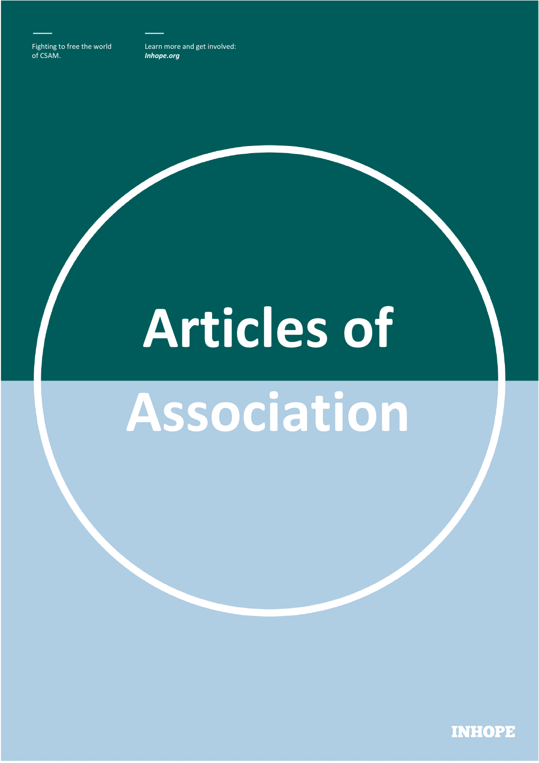Fighting to free the world of CSAM.

Learn more and get involved: *Inhope.org* 

# **Articles of**

# **Association**

**INHOPE**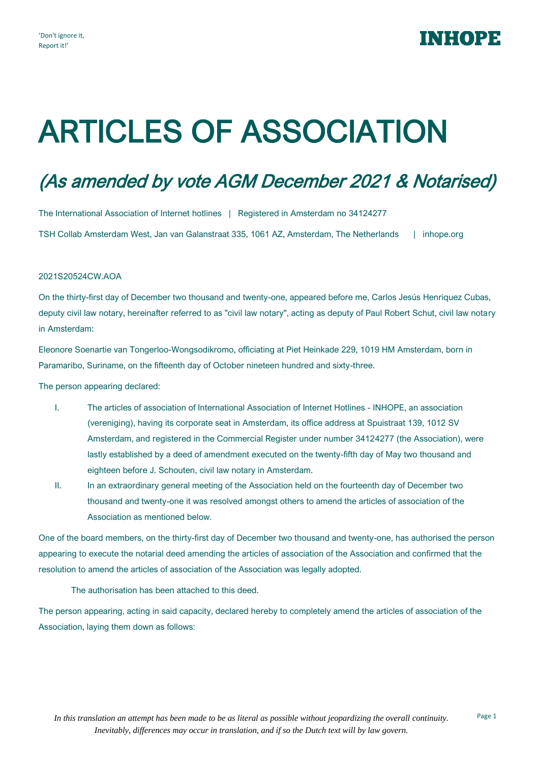## INHOPE

## ARTICLES OF ASSOCIATION

## (As amended by vote AGM December 2021 & Notarised)

The International Association of Internet hotlines | Registered in Amsterdam no 34124277 TSH Collab Amsterdam West, Jan van Galanstraat 335, 1061 AZ, Amsterdam, The Netherlands | inhope.org

#### 2021S20524CW.AOA

On the thirty-first day of December two thousand and twenty-one, appeared before me, Carlos Jesús Henriquez Cubas, deputy civil law notary, hereinafter referred to as "civil law notary", acting as deputy of Paul Robert Schut, civil law notary in Amsterdam:

Eleonore Soenartie van Tongerloo-Wongsodikromo, officiating at Piet Heinkade 229, 1019 HM Amsterdam, born in Paramaribo, Suriname, on the fifteenth day of October nineteen hundred and sixty-three.

The person appearing declared:

- I. The articles of association of International Association of Internet Hotlines INHOPE, an association (vereniging), having its corporate seat in Amsterdam, its office address at Spuistraat 139, 1012 SV Amsterdam, and registered in the Commercial Register under number 34124277 (the Association), were lastly established by a deed of amendment executed on the twenty-fifth day of May two thousand and eighteen before J. Schouten, civil law notary in Amsterdam.
- II. In an extraordinary general meeting of the Association held on the fourteenth day of December two thousand and twenty-one it was resolved amongst others to amend the articles of association of the Association as mentioned below.

One of the board members, on the thirty-first day of December two thousand and twenty-one, has authorised the person appearing to execute the notarial deed amending the articles of association of the Association and confirmed that the resolution to amend the articles of association of the Association was legally adopted.

The authorisation has been attached to this deed.

The person appearing, acting in said capacity, declared hereby to completely amend the articles of association of the Association, laying them down as follows: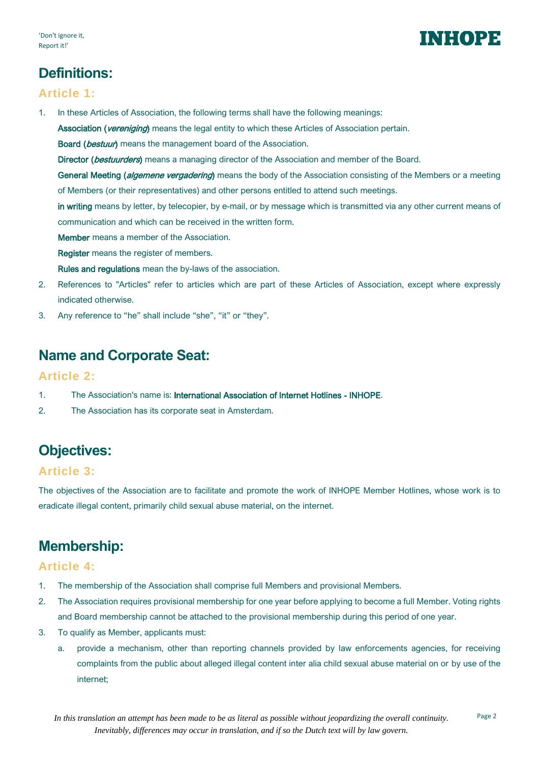## INHOPE

## **Definitions:**

#### **Article 1:**

1. In these Articles of Association, the following terms shall have the following meanings:

Association (vereniging) means the legal entity to which these Articles of Association pertain.

Board (bestuur) means the management board of the Association.

Director (bestuurders) means a managing director of the Association and member of the Board.

General Meeting (*algemene vergadering*) means the body of the Association consisting of the Members or a meeting of Members (or their representatives) and other persons entitled to attend such meetings.

in writing means by letter, by telecopier, by e-mail, or by message which is transmitted via any other current means of communication and which can be received in the written form.

Member means a member of the Association.

Register means the register of members.

Rules and regulations mean the by-laws of the association.

- 2. References to "Articles" refer to articles which are part of these Articles of Association, except where expressly indicated otherwise.
- 3. Any reference to "he" shall include "she", "it" or "they".

## **Name and Corporate Seat:**

#### **Article 2:**

- 1. The Association's name is: International Association of Internet Hotlines INHOPE.
- 2. The Association has its corporate seat in Amsterdam.

## **Objectives:**

#### **Article 3:**

The objectives of the Association are to facilitate and promote the work of INHOPE Member Hotlines, whose work is to eradicate illegal content, primarily child sexual abuse material, on the internet.

## **Membership:**

#### **Article 4:**

- 1. The membership of the Association shall comprise full Members and provisional Members.
- 2. The Association requires provisional membership for one year before applying to become a full Member. Voting rights and Board membership cannot be attached to the provisional membership during this period of one year.
- 3. To qualify as Member, applicants must:
	- a. provide a mechanism, other than reporting channels provided by law enforcements agencies, for receiving complaints from the public about alleged illegal content inter alia child sexual abuse material on or by use of the internet;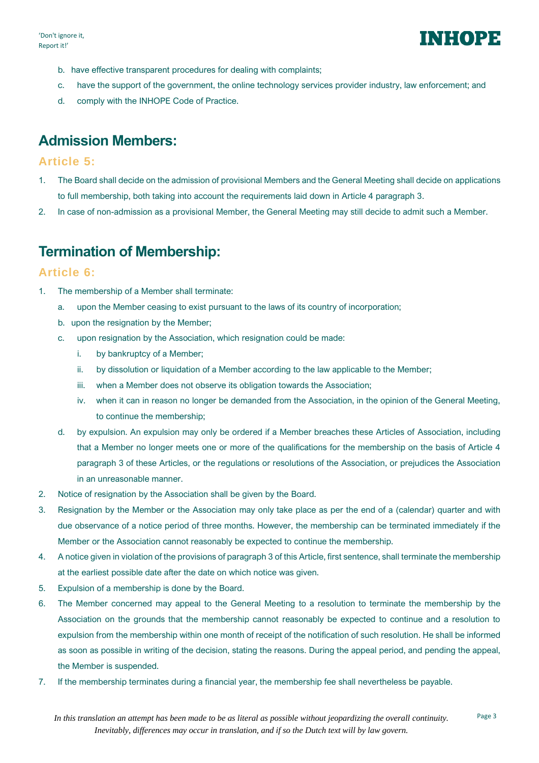

- b. have effective transparent procedures for dealing with complaints;
- c. have the support of the government, the online technology services provider industry, law enforcement; and
- d. comply with the INHOPE Code of Practice.

## **Admission Members:**

#### **Article 5:**

- 1. The Board shall decide on the admission of provisional Members and the General Meeting shall decide on applications to full membership, both taking into account the requirements laid down in Article 4 paragraph 3.
- 2. In case of non-admission as a provisional Member, the General Meeting may still decide to admit such a Member.

## **Termination of Membership:**

#### **Article 6:**

- 1. The membership of a Member shall terminate:
	- a. upon the Member ceasing to exist pursuant to the laws of its country of incorporation;
	- b. upon the resignation by the Member;
	- c. upon resignation by the Association, which resignation could be made:
		- i. by bankruptcy of a Member;
		- ii. by dissolution or liquidation of a Member according to the law applicable to the Member;
		- iii. when a Member does not observe its obligation towards the Association;
		- iv. when it can in reason no longer be demanded from the Association, in the opinion of the General Meeting, to continue the membership;
	- d. by expulsion. An expulsion may only be ordered if a Member breaches these Articles of Association, including that a Member no longer meets one or more of the qualifications for the membership on the basis of Article 4 paragraph 3 of these Articles, or the regulations or resolutions of the Association, or prejudices the Association in an unreasonable manner.
- 2. Notice of resignation by the Association shall be given by the Board.
- 3. Resignation by the Member or the Association may only take place as per the end of a (calendar) quarter and with due observance of a notice period of three months. However, the membership can be terminated immediately if the Member or the Association cannot reasonably be expected to continue the membership.
- 4. A notice given in violation of the provisions of paragraph 3 of this Article, first sentence, shall terminate the membership at the earliest possible date after the date on which notice was given.
- 5. Expulsion of a membership is done by the Board.
- 6. The Member concerned may appeal to the General Meeting to a resolution to terminate the membership by the Association on the grounds that the membership cannot reasonably be expected to continue and a resolution to expulsion from the membership within one month of receipt of the notification of such resolution. He shall be informed as soon as possible in writing of the decision, stating the reasons. During the appeal period, and pending the appeal, the Member is suspended.
- 7. If the membership terminates during a financial year, the membership fee shall nevertheless be payable.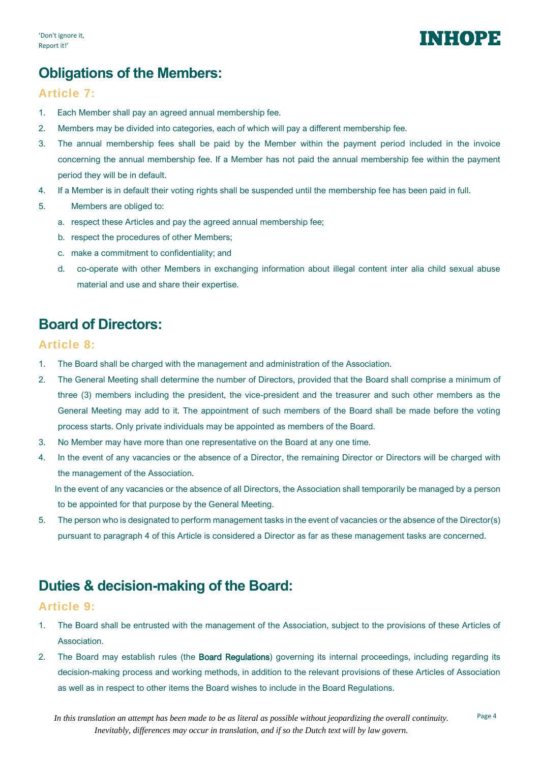## **Obligations of the Members:**

#### **Article 7:**

- 1. Each Member shall pay an agreed annual membership fee.
- 2. Members may be divided into categories, each of which will pay a different membership fee.
- 3. The annual membership fees shall be paid by the Member within the payment period included in the invoice concerning the annual membership fee. If a Member has not paid the annual membership fee within the payment period they will be in default.
- 4. If a Member is in default their voting rights shall be suspended until the membership fee has been paid in full.
- 5. Members are obliged to:
	- a. respect these Articles and pay the agreed annual membership fee;
	- b. respect the procedures of other Members;
	- c. make a commitment to confidentiality; and
	- d. co-operate with other Members in exchanging information about illegal content inter alia child sexual abuse material and use and share their expertise.

## **Board of Directors:**

#### **Article 8:**

- 1. The Board shall be charged with the management and administration of the Association.
- 2. The General Meeting shall determine the number of Directors, provided that the Board shall comprise a minimum of three (3) members including the president, the vice-president and the treasurer and such other members as the General Meeting may add to it. The appointment of such members of the Board shall be made before the voting process starts. Only private individuals may be appointed as members of the Board.
- 3. No Member may have more than one representative on the Board at any one time.
- 4. In the event of any vacancies or the absence of a Director, the remaining Director or Directors will be charged with the management of the Association.

In the event of any vacancies or the absence of all Directors, the Association shall temporarily be managed by a person to be appointed for that purpose by the General Meeting.

5. The person who is designated to perform management tasks in the event of vacancies or the absence of the Director(s) pursuant to paragraph 4 of this Article is considered a Director as far as these management tasks are concerned.

## **Duties & decision-making of the Board:**

#### **Article 9:**

- 1. The Board shall be entrusted with the management of the Association, subject to the provisions of these Articles of Association.
- 2. The Board may establish rules (the Board Regulations) governing its internal proceedings, including regarding its decision-making process and working methods, in addition to the relevant provisions of these Articles of Association as well as in respect to other items the Board wishes to include in the Board Regulations.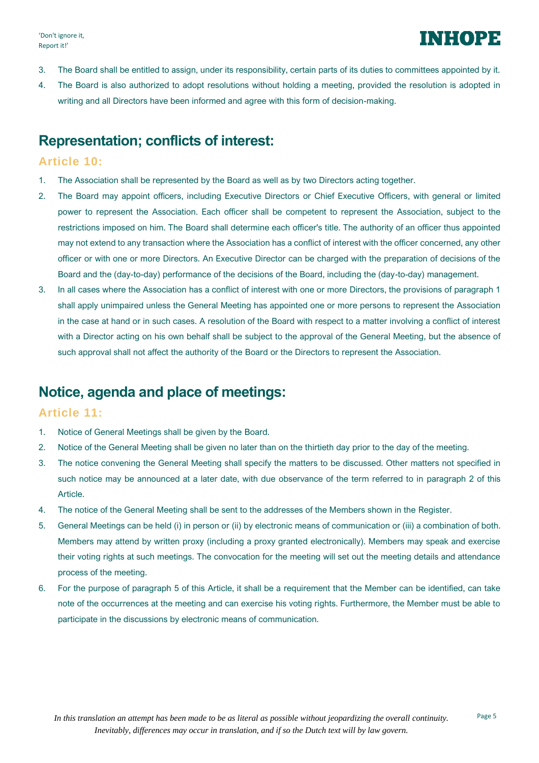- 3. The Board shall be entitled to assign, under its responsibility, certain parts of its duties to committees appointed by it.
- 4. The Board is also authorized to adopt resolutions without holding a meeting, provided the resolution is adopted in writing and all Directors have been informed and agree with this form of decision-making.

### **Representation; conflicts of interest:**

#### **Article 10:**

- 1. The Association shall be represented by the Board as well as by two Directors acting together.
- 2. The Board may appoint officers, including Executive Directors or Chief Executive Officers, with general or limited power to represent the Association. Each officer shall be competent to represent the Association, subject to the restrictions imposed on him. The Board shall determine each officer's title. The authority of an officer thus appointed may not extend to any transaction where the Association has a conflict of interest with the officer concerned, any other officer or with one or more Directors. An Executive Director can be charged with the preparation of decisions of the Board and the (day-to-day) performance of the decisions of the Board, including the (day-to-day) management.
- 3. In all cases where the Association has a conflict of interest with one or more Directors, the provisions of paragraph 1 shall apply unimpaired unless the General Meeting has appointed one or more persons to represent the Association in the case at hand or in such cases. A resolution of the Board with respect to a matter involving a conflict of interest with a Director acting on his own behalf shall be subject to the approval of the General Meeting, but the absence of such approval shall not affect the authority of the Board or the Directors to represent the Association.

## **Notice, agenda and place of meetings:**

#### **Article 11:**

- 1. Notice of General Meetings shall be given by the Board.
- 2. Notice of the General Meeting shall be given no later than on the thirtieth day prior to the day of the meeting.
- 3. The notice convening the General Meeting shall specify the matters to be discussed. Other matters not specified in such notice may be announced at a later date, with due observance of the term referred to in paragraph 2 of this Article.
- 4. The notice of the General Meeting shall be sent to the addresses of the Members shown in the Register.
- 5. General Meetings can be held (i) in person or (ii) by electronic means of communication or (iii) a combination of both. Members may attend by written proxy (including a proxy granted electronically). Members may speak and exercise their voting rights at such meetings. The convocation for the meeting will set out the meeting details and attendance process of the meeting.
- 6. For the purpose of paragraph 5 of this Article, it shall be a requirement that the Member can be identified, can take note of the occurrences at the meeting and can exercise his voting rights. Furthermore, the Member must be able to participate in the discussions by electronic means of communication.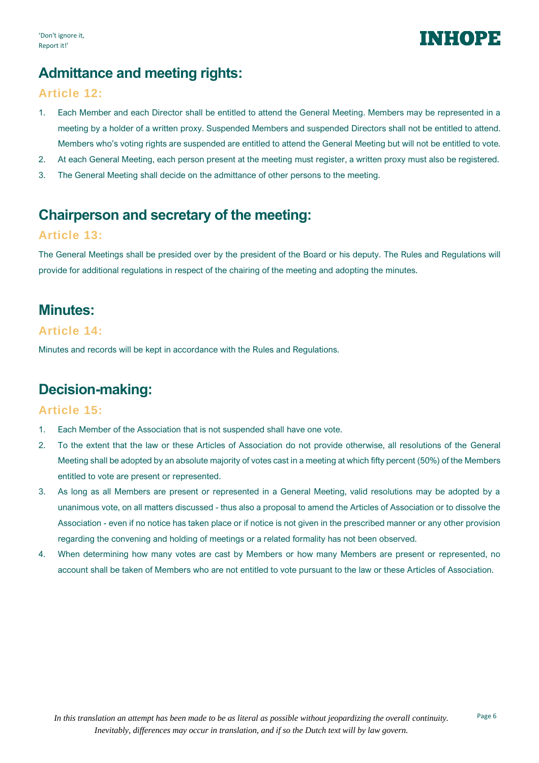

## **Admittance and meeting rights:**

#### **Article 12:**

- 1. Each Member and each Director shall be entitled to attend the General Meeting. Members may be represented in a meeting by a holder of a written proxy. Suspended Members and suspended Directors shall not be entitled to attend. Members who's voting rights are suspended are entitled to attend the General Meeting but will not be entitled to vote.
- 2. At each General Meeting, each person present at the meeting must register, a written proxy must also be registered.
- 3. The General Meeting shall decide on the admittance of other persons to the meeting.

## **Chairperson and secretary of the meeting:**

#### **Article 13:**

The General Meetings shall be presided over by the president of the Board or his deputy. The Rules and Regulations will provide for additional regulations in respect of the chairing of the meeting and adopting the minutes.

### **Minutes:**

#### **Article 14:**

Minutes and records will be kept in accordance with the Rules and Regulations.

## **Decision-making:**

#### **Article 15:**

- 1. Each Member of the Association that is not suspended shall have one vote.
- 2. To the extent that the law or these Articles of Association do not provide otherwise, all resolutions of the General Meeting shall be adopted by an absolute majority of votes cast in a meeting at which fifty percent (50%) of the Members entitled to vote are present or represented.
- 3. As long as all Members are present or represented in a General Meeting, valid resolutions may be adopted by a unanimous vote, on all matters discussed - thus also a proposal to amend the Articles of Association or to dissolve the Association - even if no notice has taken place or if notice is not given in the prescribed manner or any other provision regarding the convening and holding of meetings or a related formality has not been observed.
- 4. When determining how many votes are cast by Members or how many Members are present or represented, no account shall be taken of Members who are not entitled to vote pursuant to the law or these Articles of Association.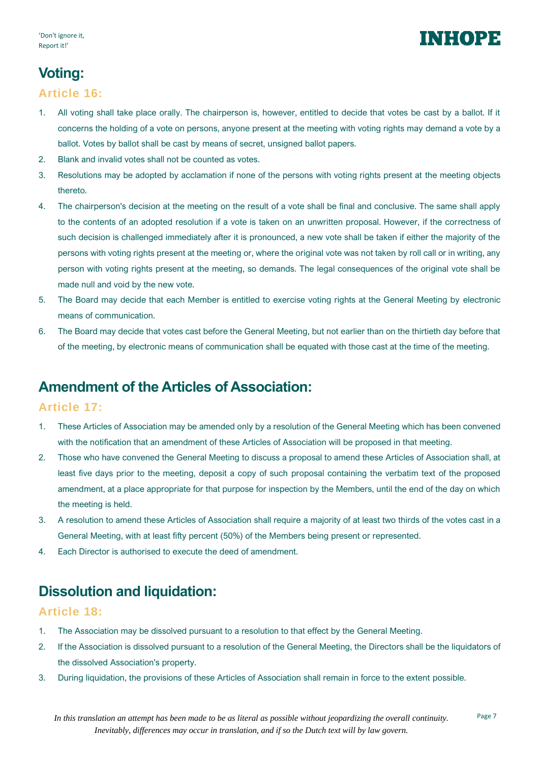## INI:(0)23

## **Voting:**

#### **Article 16:**

- 1. All voting shall take place orally. The chairperson is, however, entitled to decide that votes be cast by a ballot. If it concerns the holding of a vote on persons, anyone present at the meeting with voting rights may demand a vote by a ballot. Votes by ballot shall be cast by means of secret, unsigned ballot papers.
- 2. Blank and invalid votes shall not be counted as votes.
- 3. Resolutions may be adopted by acclamation if none of the persons with voting rights present at the meeting objects thereto.
- 4. The chairperson's decision at the meeting on the result of a vote shall be final and conclusive. The same shall apply to the contents of an adopted resolution if a vote is taken on an unwritten proposal. However, if the correctness of such decision is challenged immediately after it is pronounced, a new vote shall be taken if either the majority of the persons with voting rights present at the meeting or, where the original vote was not taken by roll call or in writing, any person with voting rights present at the meeting, so demands. The legal consequences of the original vote shall be made null and void by the new vote.
- 5. The Board may decide that each Member is entitled to exercise voting rights at the General Meeting by electronic means of communication.
- 6. The Board may decide that votes cast before the General Meeting, but not earlier than on the thirtieth day before that of the meeting, by electronic means of communication shall be equated with those cast at the time of the meeting.

## **Amendment of the Articles of Association:**

#### **Article 17:**

- 1. These Articles of Association may be amended only by a resolution of the General Meeting which has been convened with the notification that an amendment of these Articles of Association will be proposed in that meeting.
- 2. Those who have convened the General Meeting to discuss a proposal to amend these Articles of Association shall, at least five days prior to the meeting, deposit a copy of such proposal containing the verbatim text of the proposed amendment, at a place appropriate for that purpose for inspection by the Members, until the end of the day on which the meeting is held.
- 3. A resolution to amend these Articles of Association shall require a majority of at least two thirds of the votes cast in a General Meeting, with at least fifty percent (50%) of the Members being present or represented.
- 4. Each Director is authorised to execute the deed of amendment.

## **Dissolution and liquidation:**

#### **Article 18:**

- 1. The Association may be dissolved pursuant to a resolution to that effect by the General Meeting.
- 2. If the Association is dissolved pursuant to a resolution of the General Meeting, the Directors shall be the liquidators of the dissolved Association's property.
- 3. During liquidation, the provisions of these Articles of Association shall remain in force to the extent possible.